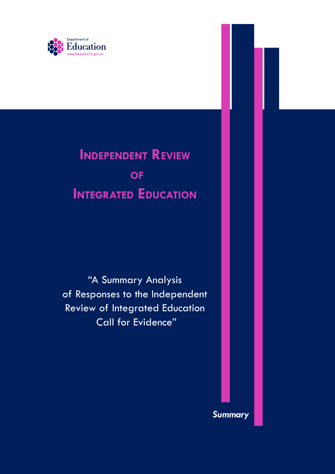

# **Independent Review of Integrated Education**

"A Summary Analysis of Responses to the Independent Review of Integrated Education Call for Evidence"

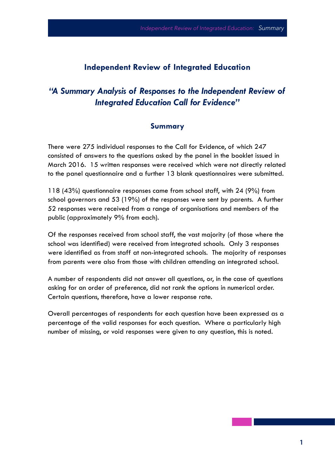## **Independent Review of Integrated Education**

## *"A Summary Analysis of Responses to the Independent Review of Integrated Education Call for Evidence"*

#### **Summary**

There were 275 individual responses to the Call for Evidence, of which 247 consisted of answers to the questions asked by the panel in the booklet issued in March 2016. 15 written responses were received which were not directly related to the panel questionnaire and a further 13 blank questionnaires were submitted.

118 (43%) questionnaire responses came from school staff, with 24 (9%) from school governors and 53 (19%) of the responses were sent by parents. A further 52 responses were received from a range of organisations and members of the public (approximately 9% from each).

Of the responses received from school staff, the vast majority (of those where the school was identified) were received from integrated schools. Only 3 responses were identified as from staff at non-integrated schools. The majority of responses from parents were also from those with children attending an integrated school.

A number of respondents did not answer all questions, or, in the case of questions asking for an order of preference, did not rank the options in numerical order. Certain questions, therefore, have a lower response rate.

Overall percentages of respondents for each question have been expressed as a percentage of the valid responses for each question. Where a particularly high number of missing, or void responses were given to any question, this is noted.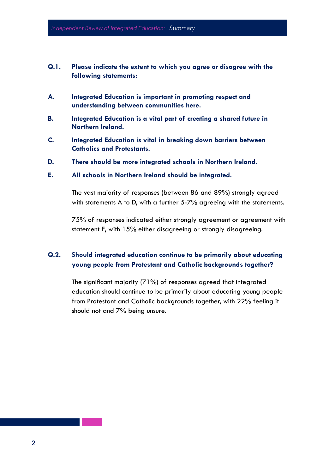- **Q.1. Please indicate the extent to which you agree or disagree with the following statements:**
- **A. Integrated Education is important in promoting respect and understanding between communities here.**
- **B. Integrated Education is a vital part of creating a shared future in Northern Ireland.**
- **C. Integrated Education is vital in breaking down barriers between Catholics and Protestants.**
- **D. There should be more integrated schools in Northern Ireland.**
- **E. All schools in Northern Ireland should be integrated.**

The vast majority of responses (between 86 and 89%) strongly agreed with statements A to D, with a further 5-7% agreeing with the statements.

75% of responses indicated either strongly agreement or agreement with statement E, with 15% either disagreeing or strongly disagreeing.

#### **Q.2. Should integrated education continue to be primarily about educating young people from Protestant and Catholic backgrounds together?**

The significant majority (71%) of responses agreed that integrated education should continue to be primarily about educating young people from Protestant and Catholic backgrounds together, with 22% feeling it should not and 7% being unsure.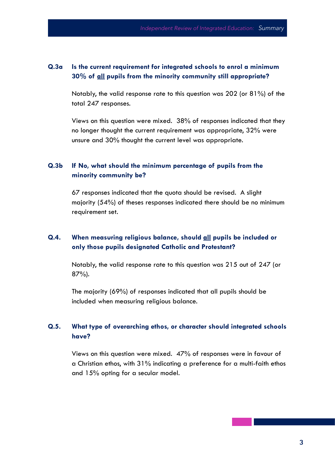#### **Q.3a Is the current requirement for integrated schools to enrol a minimum 30% of all pupils from the minority community still appropriate?**

Notably, the valid response rate to this question was 202 (or 81%) of the total 247 responses.

Views on this question were mixed. 38% of responses indicated that they no longer thought the current requirement was appropriate, 32% were unsure and 30% thought the current level was appropriate.

#### **Q.3b If No, what should the minimum percentage of pupils from the minority community be?**

67 responses indicated that the quota should be revised. A slight majority (54%) of theses responses indicated there should be no minimum requirement set.

## **Q.4. When measuring religious balance, should all pupils be included or only those pupils designated Catholic and Protestant?**

Notably, the valid response rate to this question was 215 out of 247 (or 87%).

The majority (69%) of responses indicated that all pupils should be included when measuring religious balance.

#### **Q.5. What type of overarching ethos, or character should integrated schools have?**

Views on this question were mixed. 47% of responses were in favour of a Christian ethos, with 31% indicating a preference for a multi-faith ethos and 15% opting for a secular model.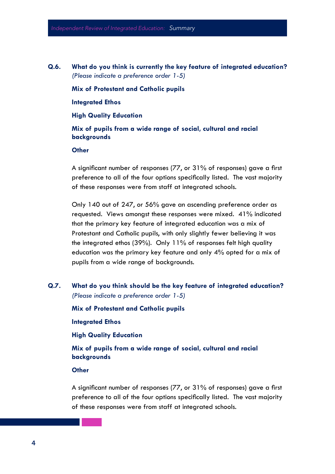**Q.6. What do you think is currently the key feature of integrated education?**  *(Please indicate a preference order 1-5)*

**Mix of Protestant and Catholic pupils**

**Integrated Ethos**

**High Quality Education**

**Mix of pupils from a wide range of social, cultural and racial backgrounds**

**Other**

A significant number of responses (77, or 31% of responses) gave a first preference to all of the four options specifically listed. The vast majority of these responses were from staff at integrated schools.

Only 140 out of 247, or 56% gave an ascending preference order as requested. Views amongst these responses were mixed. 41% indicated that the primary key feature of integrated education was a mix of Protestant and Catholic pupils, with only slightly fewer believing it was the integrated ethos (39%). Only 11% of responses felt high quality education was the primary key feature and only 4% opted for a mix of pupils from a wide range of backgrounds.

**Q.7. What do you think should be the key feature of integrated education?**  *(Please indicate a preference order 1-5)*

**Mix of Protestant and Catholic pupils**

**Integrated Ethos**

**High Quality Education**

**Mix of pupils from a wide range of social, cultural and racial backgrounds**

#### **Other**

A significant number of responses (77, or 31% of responses) gave a first preference to all of the four options specifically listed. The vast majority of these responses were from staff at integrated schools.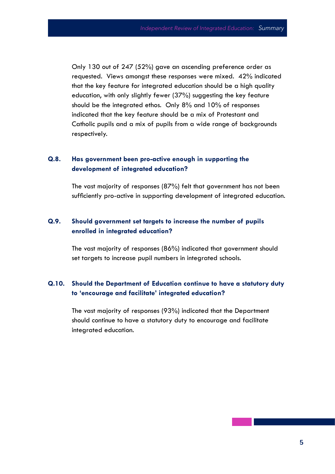Only 130 out of 247 (52%) gave an ascending preference order as requested. Views amongst these responses were mixed. 42% indicated that the key feature for integrated education should be a high quality education, with only slightly fewer (37%) suggesting the key feature should be the integrated ethos. Only 8% and 10% of responses indicated that the key feature should be a mix of Protestant and Catholic pupils and a mix of pupils from a wide range of backgrounds respectively.

#### **Q.8. Has government been pro-active enough in supporting the development of integrated education?**

The vast majority of responses (87%) felt that government has not been sufficiently pro-active in supporting development of integrated education.

#### **Q.9. Should government set targets to increase the number of pupils enrolled in integrated education?**

The vast majority of responses (86%) indicated that government should set targets to increase pupil numbers in integrated schools.

#### **Q.10. Should the Department of Education continue to have a statutory duty to 'encourage and facilitate' integrated education?**

The vast majority of responses (93%) indicated that the Department should continue to have a statutory duty to encourage and facilitate integrated education.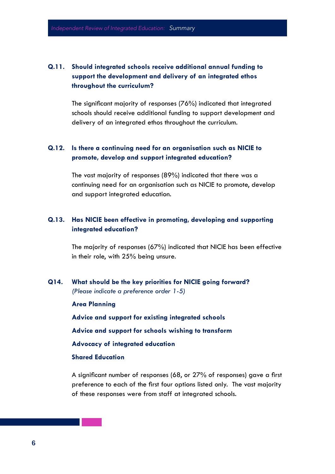## **Q.11. Should integrated schools receive additional annual funding to support the development and delivery of an integrated ethos throughout the curriculum?**

The significant majority of responses (76%) indicated that integrated schools should receive additional funding to support development and delivery of an integrated ethos throughout the curriculum.

#### **Q.12. Is there a continuing need for an organisation such as NICIE to promote, develop and support integrated education?**

The vast majority of responses (89%) indicated that there was a continuing need for an organisation such as NICIE to promote, develop and support integrated education.

#### **Q.13. Has NICIE been effective in promoting, developing and supporting integrated education?**

The majority of responses (67%) indicated that NICIE has been effective in their role, with 25% being unsure.

#### **Q14. What should be the key priorities for NICIE going forward?** *(Please indicate a preference order 1-5)*

**Area Planning**

**Advice and support for existing integrated schools**

**Advice and support for schools wishing to transform**

**Advocacy of integrated education**

#### **Shared Education**

A significant number of responses (68, or 27% of responses) gave a first preference to each of the first four options listed only. The vast majority of these responses were from staff at integrated schools.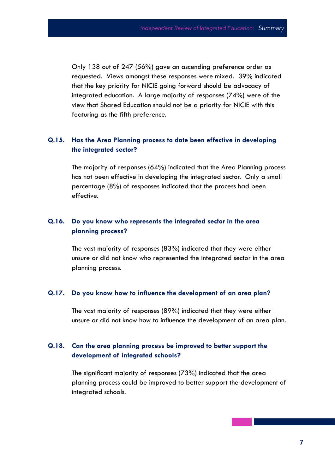Only 138 out of 247 (56%) gave an ascending preference order as requested. Views amongst these responses were mixed. 39% indicated that the key priority for NICIE going forward should be advocacy of integrated education. A large majority of responses (74%) were of the view that Shared Education should not be a priority for NICIE with this featuring as the fifth preference.

#### **Q.15. Has the Area Planning process to date been effective in developing the integrated sector?**

The majority of responses (64%) indicated that the Area Planning process has not been effective in developing the integrated sector. Only a small percentage (8%) of responses indicated that the process had been effective.

#### **Q.16. Do you know who represents the integrated sector in the area planning process?**

The vast majority of responses (83%) indicated that they were either unsure or did not know who represented the integrated sector in the area planning process.

#### **Q.17. Do you know how to influence the development of an area plan?**

The vast majority of responses (89%) indicated that they were either unsure or did not know how to influence the development of an area plan.

#### **Q.18. Can the area planning process be improved to better support the development of integrated schools?**

The significant majority of responses (73%) indicated that the area planning process could be improved to better support the development of integrated schools.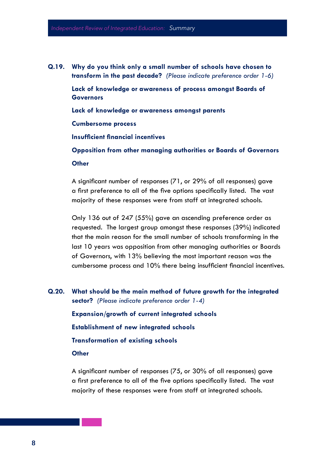**Q.19. Why do you think only a small number of schools have chosen to transform in the past decade?** *(Please indicate preference order 1-6)* **Lack of knowledge or awareness of process amongst Boards of Governors Lack of knowledge or awareness amongst parents Cumbersome process Insufficient financial incentives Opposition from other managing authorities or Boards of Governors Other**

> A significant number of responses (71, or 29% of all responses) gave a first preference to all of the five options specifically listed. The vast majority of these responses were from staff at integrated schools.

Only 136 out of 247 (55%) gave an ascending preference order as requested. The largest group amongst these responses (39%) indicated that the main reason for the small number of schools transforming in the last 10 years was opposition from other managing authorities or Boards of Governors, with 13% believing the most important reason was the cumbersome process and 10% there being insufficient financial incentives.

**Q.20. What should be the main method of future growth for the integrated sector?** *(Please indicate preference order 1-4)*

**Expansion/growth of current integrated schools Establishment of new integrated schools Transformation of existing schools Other**

A significant number of responses (75, or 30% of all responses) gave a first preference to all of the five options specifically listed. The vast majority of these responses were from staff at integrated schools.